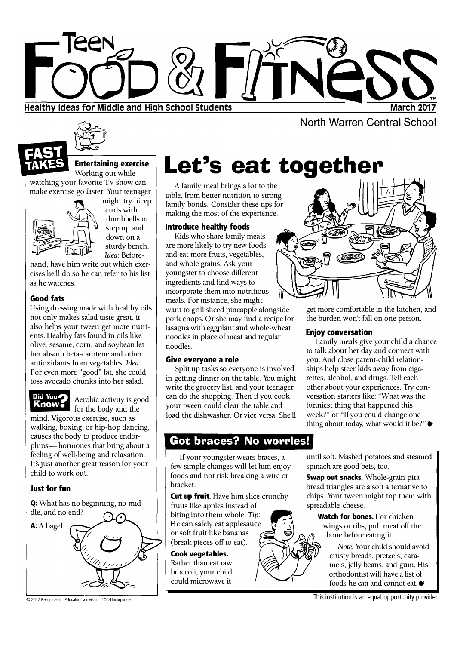

**North Warren Central School** 

# **Let's eat together**

A family meal brings a lot to the table, from better nutrition to strong family bonds. Consider these tips for making the most of the experience.

### **Introduce healthy foods**

Kids who share family meals are more likely to try new foods and eat more fruits, vegetables, and whole grains. Ask your youngster to choose different ingredients and find ways to incorporate them into nutritious meals. For instance, she might want to grill sliced pineapple alongside pork chops. Or she may find a recipe for

lasagna with eggplant and whole-wheat noodles in place of meat and regular noodles.

### **Give everyone a role**

Split up tasks so everyone is involved in getting dinner on the table. You might write the grocery list, and your teenager can do the shopping. Then if you cook, your tween could clear the table and load the dishwasher. Or vice versa. She'll

### **Got braces? No worries!**

If your youngster wears braces, a few simple changes will let him enjoy foods and not risk breaking a wire or bracket.

**Cut up fruit.** Have him slice crunchy fruits like apples instead of biting into them whole. *Tip:* He can safely eat applesauce or soft fruit like bananas (break pieces off to eat).

**Cook vegetables.**  Rather than eat raw broccoli, your child could microwave it



get more comfortable in the kitchen, and the burden won't fall on one person.

### **Enjoy conversation**

Family meals give your child a chance to talk about her day and connect with you. And close parent-child relationships help steer kids away from cigarettes, alcohol, and drugs. Tell each other about your experiences. Try conversation starters like: "What was the funniest thing that happened this week?" or "If you could change one thing about today, what would it be?" $\bullet$ 

until soft. Mashed potatoes and steamed spinach are good bets, too.

**Swap out snacks.** Whole-grain pita bread triangles are a soft alternative to chips. Your tween might top them with spreadable cheese.

**Watch for bones.** For chicken wings or ribs, pull meat off the bone before eating it.

> *Note:* Your child should avoid crusty breads, pretzels, caramels, jelly beans, and gum. His orthodontist will have a list of foods he can and cannot eat.

This institution is an equal opportunity provider.

**Entertaining exercise**  Working out while

watching your favorite TV show can make exercise go faster. Your teenager



might try bicep step up and down on a sturdy bench. - *Idea:* Before-

cises he'll do so he can refer to his list as he watches.

### **Good fats**

Using dressing made with healthy oils not only makes salad taste great, it also helps your tween get more nutrients. Healthy fats found in oils like olive, sesame, corn, and soybean let her absorb beta-carotene and other antioxidants from vegetables. *Idea:*  For even more "good" fat, she could toss avocado chunks into her salad.



**Know Branch Aerobic activity is good**<br>for the body and the

mind. Vigorous exercise, such as walking, boxing, or hip-hop dancing, causes the body to produce endorphins-hormones that bring about a feeling of well-being and relaxation. It's just another great reason for your child to work out.

### **Just for fun**



© 2017 Resources for Educators, a division of CCH Incorporated